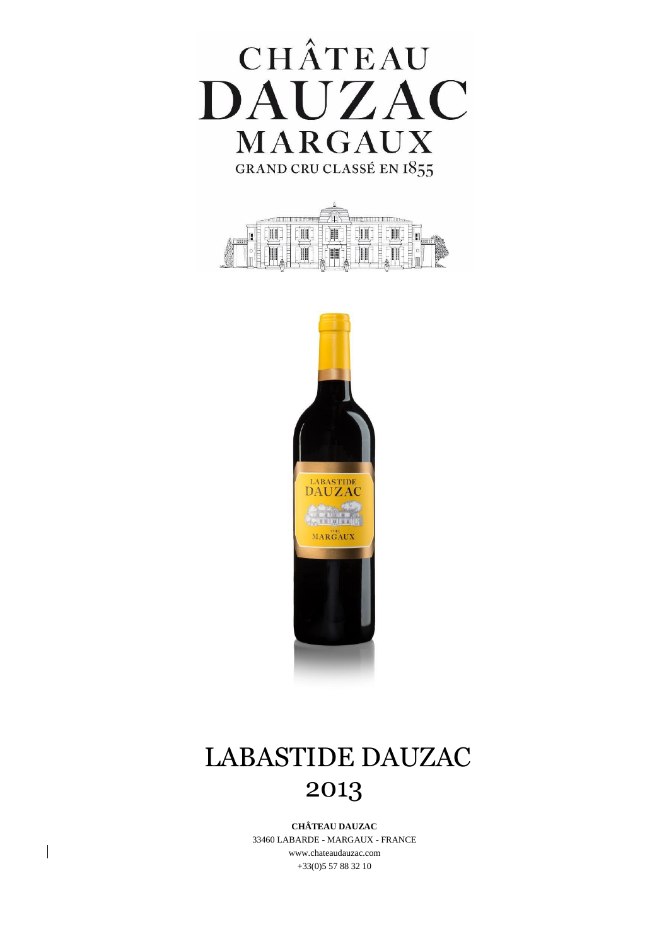





# LABASTIDE DAUZAC 2013

**CHÂTEAU DAUZAC** 33460 LABARDE - MARGAUX - FRANCE [www.chateaudauzac.com](http://www.chateaudauzac.com/) +33(0)5 57 88 32 10